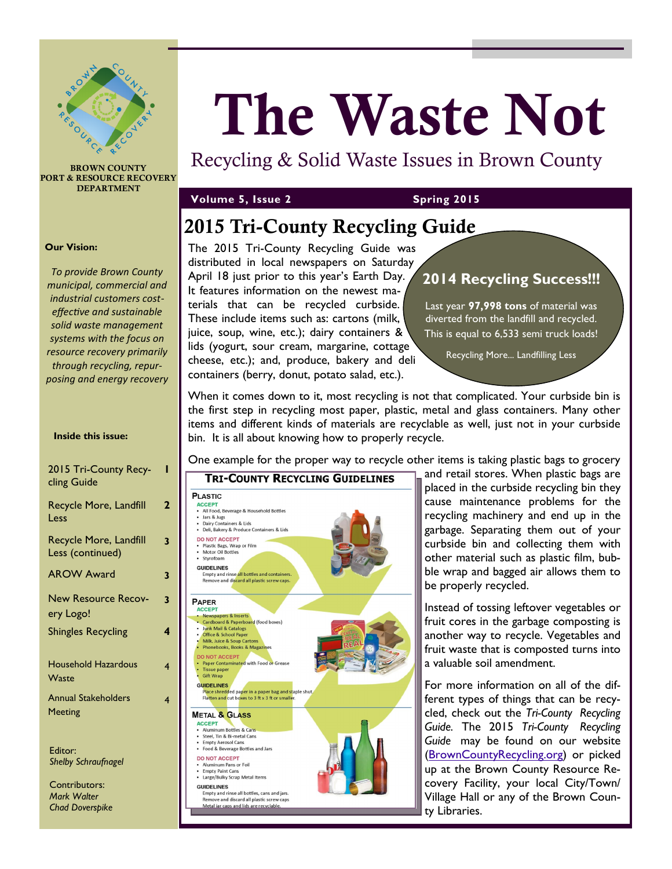

**BROWN COUNTY PORT & RESOURCE RECOVERY DEPARTMENT**

### **Volume 5, Issue 2 Spring 2015**

**The Waste Not**

Recycling & Solid Waste Issues in Brown County

## **2015 Tri-County Recycling Guide**

The 2015 Tri-County Recycling Guide was distributed in local newspapers on Saturday April 18 just prior to this year's Earth Day. It features information on the newest materials that can be recycled curbside. These include items such as: cartons (milk, juice, soup, wine, etc.); dairy containers & lids (yogurt, sour cream, margarine, cottage cheese, etc.); and, produce, bakery and deli containers (berry, donut, potato salad, etc.).

### **2014 Recycling Success!!!**

Last year **97,998 tons** of material was diverted from the landfill and recycled. This is equal to 6,533 semi truck loads!

Recycling More... Landfilling Less

When it comes down to it, most recycling is not that complicated. Your curbside bin is the first step in recycling most paper, plastic, metal and glass containers. Many other items and different kinds of materials are recyclable as well, just not in your curbside bin. It is all about knowing how to properly recycle.

One example for the proper way to recycle other items is taking plastic bags to grocery



and retail stores. When plastic bags are placed in the curbside recycling bin they cause maintenance problems for the recycling machinery and end up in the garbage. Separating them out of your curbside bin and collecting them with other material such as plastic film, bubble wrap and bagged air allows them to be properly recycled.

Instead of tossing leftover vegetables or fruit cores in the garbage composting is another way to recycle. Vegetables and fruit waste that is composted turns into a valuable soil amendment.

For more information on all of the different types of things that can be recycled, check out the *Tri-County Recycling Guide.* The 2015 *Tri-County Recycling Guide* may be found on our website ([BrownCountyRecycling.org\)](http://www.browncountyrecycling.org/) or picked up at the Brown County Resource Recovery Facility, your local City/Town/ Village Hall or any of the Brown County Libraries.

#### **Our Vision:**

*To provide Brown County municipal, commercial and industrial customers costeffective and sustainable solid waste management systems with the focus on resource recovery primarily through recycling, repurposing and energy recovery*

#### **Inside this issue:**

| 2015 Tri-County Recy-<br>cling Guide         |   |
|----------------------------------------------|---|
| Recycle More, Landfill<br>Less               | 2 |
| Recycle More, Landfill<br>Less (continued)   | 3 |
| <b>AROW Award</b>                            | 3 |
| <b>New Resource Recov-</b><br>ery Logo!      | 3 |
| <b>Shingles Recycling</b>                    | 4 |
| <b>Household Hazardous</b><br>Waste          | 4 |
| <b>Annual Stakeholders</b><br><b>Meeting</b> | 4 |
|                                              |   |

Editor: *Shelby Schraufnagel*

Contributors: *Mark Walter Chad Doverspike*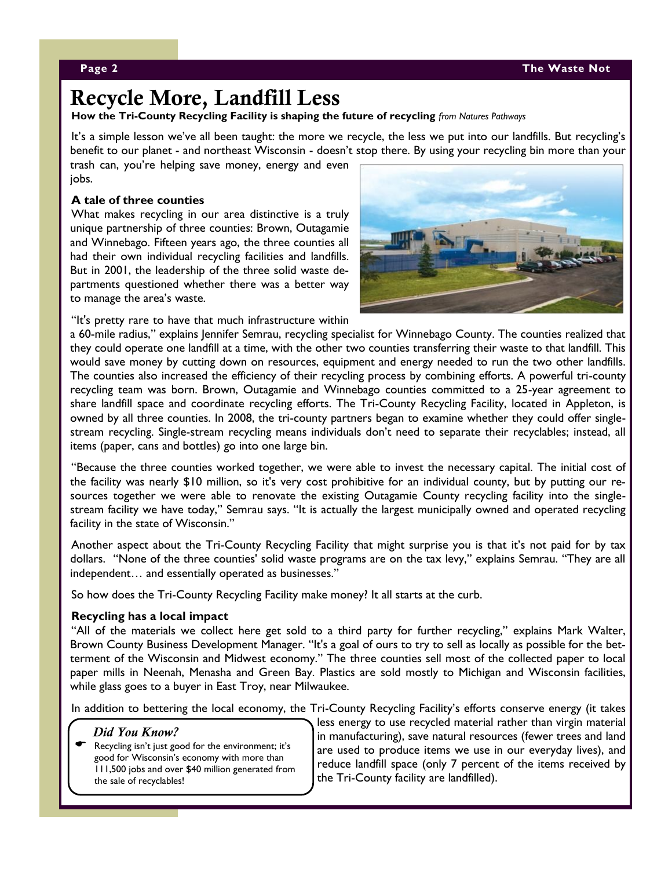### **Recycle More, Landfill Less**

**How the Tri-County Recycling Facility is shaping the future of recycling** *from Natures Pathways*

It's a simple lesson we've all been taught: the more we recycle, the less we put into our landfills. But recycling's benefit to our planet - and northeast Wisconsin - doesn't stop there. By using your recycling bin more than your

trash can, you're helping save money, energy and even jobs.

### **A tale of three counties**

What makes recycling in our area distinctive is a truly unique partnership of three counties: Brown, Outagamie and Winnebago. Fifteen years ago, the three counties all had their own individual recycling facilities and landfills. But in 2001, the leadership of the three solid waste departments questioned whether there was a better way to manage the area's waste.

"It's pretty rare to have that much infrastructure within



a 60-mile radius," explains Jennifer Semrau, recycling specialist for Winnebago County. The counties realized that they could operate one landfill at a time, with the other two counties transferring their waste to that landfill. This would save money by cutting down on resources, equipment and energy needed to run the two other landfills. The counties also increased the efficiency of their recycling process by combining efforts. A powerful tri-county recycling team was born. Brown, Outagamie and Winnebago counties committed to a 25-year agreement to share landfill space and coordinate recycling efforts. The Tri-County Recycling Facility, located in Appleton, is owned by all three counties. In 2008, the tri-county partners began to examine whether they could offer singlestream recycling. Single-stream recycling means individuals don't need to separate their recyclables; instead, all items (paper, cans and bottles) go into one large bin.

"Because the three counties worked together, we were able to invest the necessary capital. The initial cost of the facility was nearly \$10 million, so it's very cost prohibitive for an individual county, but by putting our resources together we were able to renovate the existing Outagamie County recycling facility into the singlestream facility we have today," Semrau says. "It is actually the largest municipally owned and operated recycling facility in the state of Wisconsin."

Another aspect about the Tri-County Recycling Facility that might surprise you is that it's not paid for by tax dollars. "None of the three counties' solid waste programs are on the tax levy," explains Semrau. "They are all independent… and essentially operated as businesses."

So how does the Tri-County Recycling Facility make money? It all starts at the curb.

### **Recycling has a local impact**

"All of the materials we collect here get sold to a third party for further recycling," explains Mark Walter, Brown County Business Development Manager. "It's a goal of ours to try to sell as locally as possible for the betterment of the Wisconsin and Midwest economy." The three counties sell most of the collected paper to local paper mills in Neenah, Menasha and Green Bay. Plastics are sold mostly to Michigan and Wisconsin facilities, while glass goes to a buyer in East Troy, near Milwaukee.

In addition to bettering the local economy, the Tri-County Recycling Facility's efforts conserve energy (it takes

### *Did You Know?*

 Recycling isn't just good for the environment; it's good for Wisconsin's economy with more than 111,500 jobs and over \$40 million generated from the sale of recyclables!

less energy to use recycled material rather than virgin material in manufacturing), save natural resources (fewer trees and land are used to produce items we use in our everyday lives), and reduce landfill space (only 7 percent of the items received by the Tri-County facility are landfilled).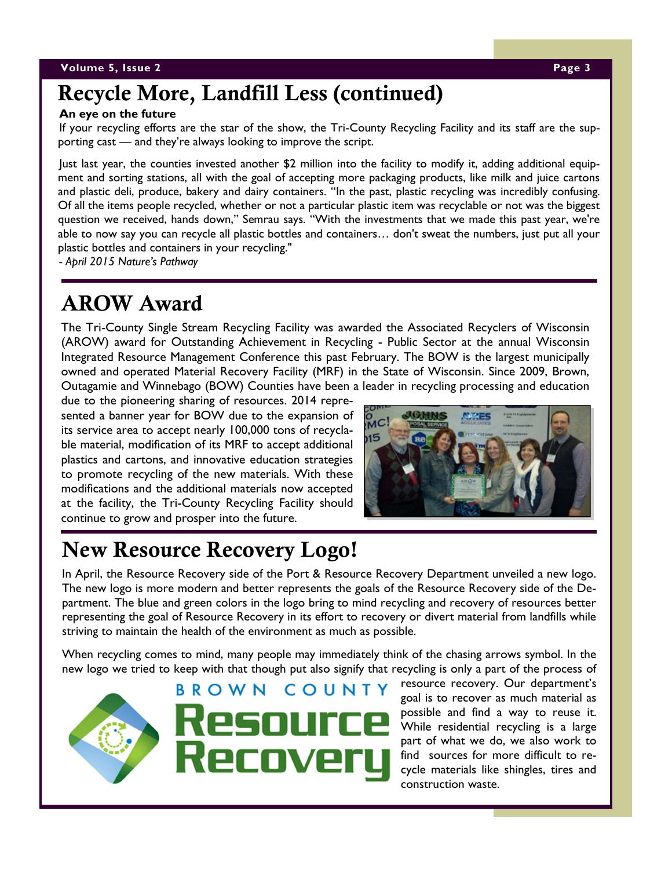### **Volume 5, Issue 2 Page 3**

## **Recycle More, Landfill Less (continued)**

### **An eye on the future**

If your recycling efforts are the star of the show, the Tri-County Recycling Facility and its staff are the supporting cast — and they're always looking to improve the script.

Just last year, the counties invested another \$2 million into the facility to modify it, adding additional equipment and sorting stations, all with the goal of accepting more packaging products, like milk and juice cartons and plastic deli, produce, bakery and dairy containers. "In the past, plastic recycling was incredibly confusing. Of all the items people recycled, whether or not a particular plastic item was recyclable or not was the biggest question we received, hands down," Semrau says. "With the investments that we made this past year, we're able to now say you can recycle all plastic bottles and containers… don't sweat the numbers, just put all your plastic bottles and containers in your recycling."

*- April 2015 Nature's Pathway*

# **AROW Award**

The Tri-County Single Stream Recycling Facility was awarded the Associated Recyclers of Wisconsin (AROW) award for Outstanding Achievement in Recycling - Public Sector at the annual Wisconsin Integrated Resource Management Conference this past February. The BOW is the largest municipally owned and operated Material Recovery Facility (MRF) in the State of Wisconsin. Since 2009, Brown, Outagamie and Winnebago (BOW) Counties have been a leader in recycling processing and education

due to the pioneering sharing of resources. 2014 represented a banner year for BOW due to the expansion of its service area to accept nearly 100,000 tons of recyclable material, modification of its MRF to accept additional plastics and cartons, and innovative education strategies to promote recycling of the new materials. With these modifications and the additional materials now accepted at the facility, the Tri-County Recycling Facility should continue to grow and prosper into the future.



# **New Resource Recovery Logo!**

In April, the Resource Recovery side of the Port & Resource Recovery Department unveiled a new logo. The new logo is more modern and better represents the goals of the Resource Recovery side of the Department. The blue and green colors in the logo bring to mind recycling and recovery of resources better representing the goal of Resource Recovery in its effort to recovery or divert material from landfills while striving to maintain the health of the environment as much as possible.

When recycling comes to mind, many people may immediately think of the chasing arrows symbol. In the new logo we tried to keep with that though put also signify that recycling is only a part of the process of

**BROWN** COUNTY resource recovery. Our department's goal is to recover as much material as possible and find a way to reuse it. While residential recycling is a large part of what we do, we also work to find sources for more difficult to recycle materials like shingles, tires and construction waste.